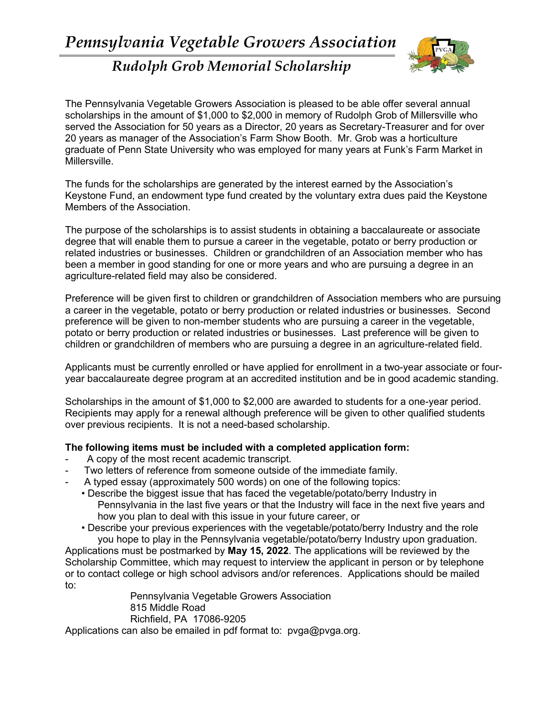

## *Rudolph Grob Memorial Scholarship*

The Pennsylvania Vegetable Growers Association is pleased to be able offer several annual scholarships in the amount of \$1,000 to \$2,000 in memory of Rudolph Grob of Millersville who served the Association for 50 years as a Director, 20 years as Secretary-Treasurer and for over 20 years as manager of the Association's Farm Show Booth. Mr. Grob was a horticulture graduate of Penn State University who was employed for many years at Funk's Farm Market in Millersville.

The funds for the scholarships are generated by the interest earned by the Association's Keystone Fund, an endowment type fund created by the voluntary extra dues paid the Keystone Members of the Association.

The purpose of the scholarships is to assist students in obtaining a baccalaureate or associate degree that will enable them to pursue a career in the vegetable, potato or berry production or related industries or businesses. Children or grandchildren of an Association member who has been a member in good standing for one or more years and who are pursuing a degree in an agriculture-related field may also be considered.

Preference will be given first to children or grandchildren of Association members who are pursuing a career in the vegetable, potato or berry production or related industries or businesses. Second preference will be given to non-member students who are pursuing a career in the vegetable, potato or berry production or related industries or businesses. Last preference will be given to children or grandchildren of members who are pursuing a degree in an agriculture-related field.

Applicants must be currently enrolled or have applied for enrollment in a two-year associate or fouryear baccalaureate degree program at an accredited institution and be in good academic standing.

Scholarships in the amount of \$1,000 to \$2,000 are awarded to students for a one-year period. Recipients may apply for a renewal although preference will be given to other qualified students over previous recipients. It is not a need-based scholarship.

## **The following items must be included with a completed application form:**

- A copy of the most recent academic transcript.
- Two letters of reference from someone outside of the immediate family.
- A typed essay (approximately 500 words) on one of the following topics:
	- Describe the biggest issue that has faced the vegetable/potato/berry Industry in Pennsylvania in the last five years or that the Industry will face in the next five years and how you plan to deal with this issue in your future career, or
	- Describe your previous experiences with the vegetable/potato/berry Industry and the role you hope to play in the Pennsylvania vegetable/potato/berry Industry upon graduation.

Applications must be postmarked by **May 15, 2022**. The applications will be reviewed by the Scholarship Committee, which may request to interview the applicant in person or by telephone or to contact college or high school advisors and/or references. Applications should be mailed to:

Pennsylvania Vegetable Growers Association 815 Middle Road Richfield, PA 17086-9205

Applications can also be emailed in pdf format to: pvga@pvga.org.